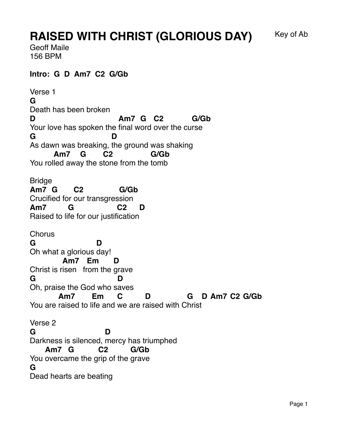## **RAISED WITH CHRIST (GLORIOUS DAY)** Key of Ab

Geoff Maile 156 BPM

## **Intro: G D Am7 C2 G/Gb**

Verse 1 **G** Death has been broken **D** Your love has spoken the final word over the curse **Am7 G C2 G/Gb G** As dawn was breaking, the ground was shaking **D** You rolled away the stone from the tomb **Am7 G C2 G/Gb Bridge Am7 G** Crucifi ed for our transgres sion **C2 G/Gb Am7** Raised to li fe for our justif ication **G C2 D Chorus G** Oh what a glorious day! **D** Christ is risen from the grave **Am7 Em D G** Oh, praise the God who s aves **D** You are raised to life and we are raised with Christ **Am7 Em C D G D Am7 C2 G/Gb** Verse 2 **G** Darkness is silenced, mercy has triumphed **D** You overcame the grip of the grave **Am7 G C2 G/Gb G** Dead hearts are beating